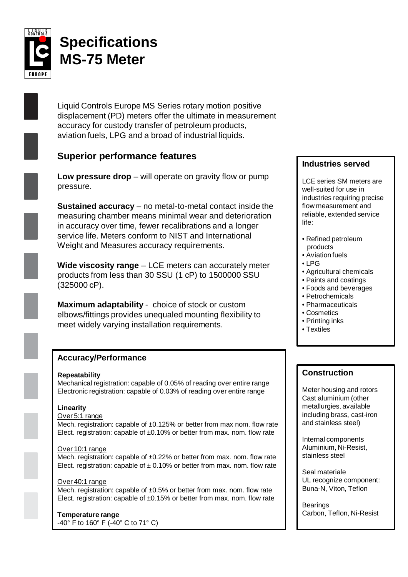

# **Specifications MS-75 Meter**

Liquid Controls Europe MS Series rotary motion positive displacement (PD) meters offer the ultimate in measurement accuracy for custody transfer of petroleum products, aviation fuels, LPG and a broad of industrial liquids.

# **Superior performance features**

**Low pressure drop** – will operate on gravity flow or pump pressure.

**Sustained accuracy** – no metal-to-metal contact inside the measuring chamber means minimal wear and deterioration in accuracy over time, fewer recalibrations and a longer service life. Meters conform to NIST and International Weight and Measures accuracy requirements.

**Wide viscosity range** – LCE meters can accurately meter products from less than 30 SSU (1 cP) to 1500000 SSU (325000 cP).

**Maximum adaptability** - choice of stock or custom elbows/fittings provides unequaled mounting flexibility to meet widely varying installation requirements.

# **Accuracy/Performance**

#### **Repeatability**

Mechanical registration: capable of 0.05% of reading over entire range Electronic registration: capable of 0.03% of reading over entire range

#### **Linearity**

#### Over 5:1 range

Mech. registration: capable of ±0.125% or better from max nom. flow rate Elect. registration: capable of ±0.10% or better from max. nom. flow rate

#### Over 10:1 range

Mech. registration: capable of ±0.22% or better from max. nom. flow rate Elect. registration: capable of  $\pm$  0.10% or better from max. nom. flow rate

#### Over 40:1 range

Mech. registration: capable of ±0.5% or better from max. nom. flow rate Elect. registration: capable of  $\pm 0.15\%$  or better from max. nom. flow rate

## **Temperature range**

-40° F to 160° F (-40° C to 71° C)

# **Industries served**

LCE series SM meters are well-suited for use in industries requiring precise flow measurement and reliable, extended service life:

- Refined petroleum products
- Aviation fuels
- LPG
- Agricultural chemicals
- Paints and coatings
- Foods and beverages
- Petrochemicals
- Pharmaceuticals
- Cosmetics
- Printing inks
- Textiles

# **Construction**

Meter housing and rotors Cast aluminium (other metallurgies, available including brass, cast-iron and stainless steel)

Internal components Aluminium, Ni-Resist, stainless steel

Seal materiale UL recognize component: Buna-N, Viton, Teflon

Bearings Carbon, Teflon, Ni-Resist